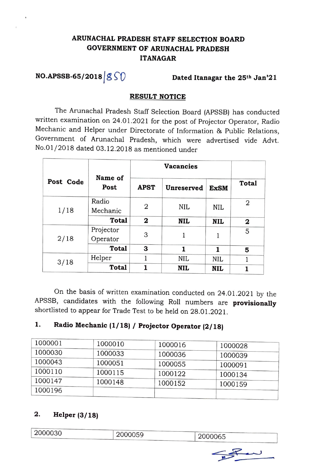# **ARUNACHAL PRADESH STAFF SELECTION BOARD GOVERNMENT OF ARUNACHAL PRADESH ITANAGAR**

# **NO.APSSB-65/2018**  $\cancel{\text{g}}\text{f}\text{f}$  **Dated Itanagar the 25<sup>th</sup> Jan'21**

### **RESULT NOTICE**

The Arunachal Pradesh Staff Selection Board (APSSB) has conducted written examination on 24.01.2021 for the post of Projector Operator, Radio Mechanic and Helper under Directorate of Information & Public Relations, Government of Arunachal Pradesh, which were advertised vide Advt. No.0 1/2018 dated 03.12.2018 as mentioned under

|           |                       | <b>Vacancies</b> |            |             |                |
|-----------|-----------------------|------------------|------------|-------------|----------------|
| Post Code | Name of<br>Post       | <b>APST</b>      | Unreserved | <b>ExSM</b> | <b>Total</b>   |
| 1/18      | Radio<br>Mechanic     | 2                | <b>NIL</b> | <b>NIL</b>  | $\overline{2}$ |
|           | <b>Total</b>          | $\mathbf{2}$     | NIL        | <b>NIL</b>  | 2              |
| 2/18      | Projector<br>Operator | 3                |            |             | 5              |
|           | <b>Total</b>          | 3                | 1          | 1           | 5              |
| 3/18      | Helper                |                  | NIL        | <b>NIL</b>  |                |
|           | <b>Total</b>          | 1                | NIL        | NIL         |                |

On the basis of written examination conducted on 24.01.2021 by the APSSB, candidates with the following Roll numbers are **provisionally**  shortlisted to appear for Trade Test to be held on 28.01.2021.

# **1. Radio Mechanic (1/ 18) / Projector Operator (2/ 18)**

| 1000001 | 1000010 | 1000016 | 1000028 |
|---------|---------|---------|---------|
| 1000030 | 1000033 | 1000036 | 1000039 |
| 1000043 | 1000051 | 1000055 | 1000091 |
| 1000110 | 1000115 | 1000122 | 1000134 |
| 1000147 | 1000148 | 1000152 | 1000159 |
| 1000196 |         |         |         |

## **2. Helper (3/ 18)**

| 2000030 | 2000059 | 2000065 |  |
|---------|---------|---------|--|
|         |         |         |  |